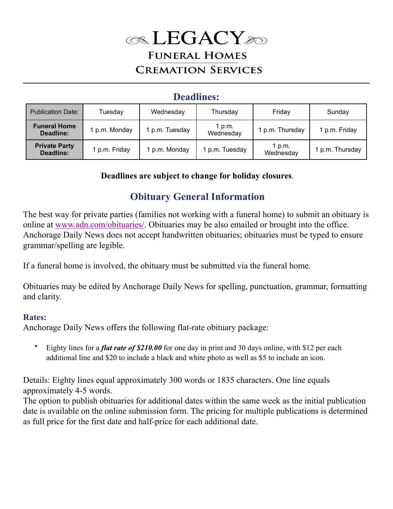# **EGACY FUNERAL HOMES CREMATION SERVICES**

### **Deadlines:**

| <b>Publication Date:</b>          | Tuesday       | Wednesday     | Thursday            | Friday              | Sunday        |
|-----------------------------------|---------------|---------------|---------------------|---------------------|---------------|
| <b>Funeral Home</b><br>Deadline:  | 1 p.m. Monday | p.m. Tuesday  | 1 p.m.<br>Wednesday | 1 p.m. Thursday     | 1 p.m. Friday |
| <b>Private Party</b><br>Deadline: | 1 p.m. Friday | 1 p.m. Monday | 1 p.m. Tuesday      | 1 p.m.<br>Wednesday | p.m. Thursday |

 **Deadlines are subject to change for holiday closures**.

## **Obituary General Information**

The best way for private parties (families not working with a funeral home) to submit an obituary is online at [www.adn.com/obituaries/.](http://www.adn.com/obituaries/) Obituaries may be also emailed or brought into the office. Anchorage Daily News does not accept handwritten obituaries; obituaries must be typed to ensure grammar/spelling are legible.

If a funeral home is involved, the obituary must be submitted via the funeral home.

Obituaries may be edited by Anchorage Daily News for spelling, punctuation, grammar, formatting and clarity.

#### **Rates:**

Anchorage Daily News offers the following flat-rate obituary package:

• Eighty lines for a *flat rate of \$210.00* for one day in print and 30 days online, with \$12 per each additional line and \$20 to include a black and white photo as well as \$5 to include an icon.

Details: Eighty lines equal approximately 300 words or 1835 characters. One line equals approximately 4-5 words.

The option to publish obituaries for additional dates within the same week as the initial publication date is available on the online submission form. The pricing for multiple publications is determined as full price for the first date and half-price for each additional date.